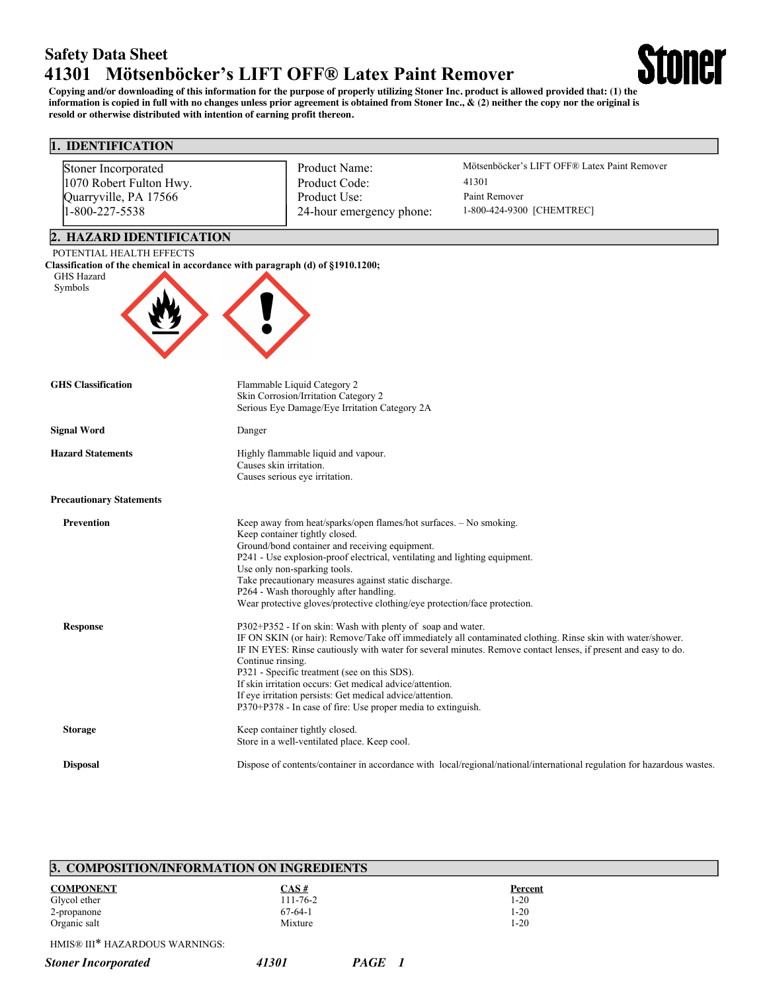# **Safety Data Sheet 41301 Mötsenböcker's LIFT OFF® Latex Paint Remover**

**Copying and/or downloading of this information for the purpose of properly utilizing Stoner Inc. product is allowed provided that: (1) the information is copied in full with no changes unless prior agreement is obtained from Stoner Inc., & (2) neither the copy nor the original is resold or otherwise distributed with intention of earning profit thereon.**

toner

# **1. IDENTIFICATION**

| Stoner Incorporated<br>1070 Robert Fulton Hwy. | Product Name:<br>Product Code:                                                                             | Mötsenböcker's LIFT OFF® Latex Paint Remover<br>41301                                                                   |
|------------------------------------------------|------------------------------------------------------------------------------------------------------------|-------------------------------------------------------------------------------------------------------------------------|
|                                                | Product Use:                                                                                               | Paint Remover                                                                                                           |
| Quarryville, PA 17566<br>1-800-227-5538        |                                                                                                            | 1-800-424-9300 [CHEMTREC]                                                                                               |
|                                                | 24-hour emergency phone:                                                                                   |                                                                                                                         |
| 2. HAZARD IDENTIFICATION                       |                                                                                                            |                                                                                                                         |
| POTENTIAL HEALTH EFFECTS                       |                                                                                                            |                                                                                                                         |
|                                                | Classification of the chemical in accordance with paragraph (d) of §1910.1200;                             |                                                                                                                         |
| GHS Hazard<br>Symbols                          |                                                                                                            |                                                                                                                         |
|                                                |                                                                                                            |                                                                                                                         |
|                                                |                                                                                                            |                                                                                                                         |
|                                                |                                                                                                            |                                                                                                                         |
|                                                |                                                                                                            |                                                                                                                         |
|                                                |                                                                                                            |                                                                                                                         |
|                                                |                                                                                                            |                                                                                                                         |
| <b>GHS</b> Classification                      | Flammable Liquid Category 2<br>Skin Corrosion/Irritation Category 2                                        |                                                                                                                         |
|                                                | Serious Eye Damage/Eye Irritation Category 2A                                                              |                                                                                                                         |
|                                                |                                                                                                            |                                                                                                                         |
| <b>Signal Word</b>                             | Danger                                                                                                     |                                                                                                                         |
| <b>Hazard Statements</b>                       | Highly flammable liquid and vapour.                                                                        |                                                                                                                         |
|                                                | Causes skin irritation.                                                                                    |                                                                                                                         |
|                                                | Causes serious eye irritation.                                                                             |                                                                                                                         |
| <b>Precautionary Statements</b>                |                                                                                                            |                                                                                                                         |
| <b>Prevention</b>                              | Keep away from heat/sparks/open flames/hot surfaces. - No smoking.                                         |                                                                                                                         |
|                                                | Keep container tightly closed.                                                                             |                                                                                                                         |
|                                                | Ground/bond container and receiving equipment.                                                             |                                                                                                                         |
|                                                | P241 - Use explosion-proof electrical, ventilating and lighting equipment.<br>Use only non-sparking tools. |                                                                                                                         |
|                                                | Take precautionary measures against static discharge.                                                      |                                                                                                                         |
|                                                | P264 - Wash thoroughly after handling.                                                                     |                                                                                                                         |
|                                                | Wear protective gloves/protective clothing/eye protection/face protection.                                 |                                                                                                                         |
| <b>Response</b>                                | P302+P352 - If on skin: Wash with plenty of soap and water.                                                |                                                                                                                         |
|                                                |                                                                                                            | IF ON SKIN (or hair): Remove/Take off immediately all contaminated clothing. Rinse skin with water/shower.              |
|                                                | Continue rinsing.                                                                                          | IF IN EYES: Rinse cautiously with water for several minutes. Remove contact lenses, if present and easy to do.          |
|                                                | P321 - Specific treatment (see on this SDS).                                                               |                                                                                                                         |
|                                                | If skin irritation occurs: Get medical advice/attention.                                                   |                                                                                                                         |
|                                                | If eye irritation persists: Get medical advice/attention.                                                  |                                                                                                                         |
|                                                | P370+P378 - In case of fire: Use proper media to extinguish.                                               |                                                                                                                         |
| <b>Storage</b>                                 | Keep container tightly closed.                                                                             |                                                                                                                         |
|                                                | Store in a well-ventilated place. Keep cool.                                                               |                                                                                                                         |
| <b>Disposal</b>                                |                                                                                                            | Dispose of contents/container in accordance with local/regional/national/international regulation for hazardous wastes. |

| 3. COMPOSITION/INFORMATION ON INGREDIENTS |  |  |  |  |
|-------------------------------------------|--|--|--|--|
|                                           |  |  |  |  |
|                                           |  |  |  |  |
|                                           |  |  |  |  |
|                                           |  |  |  |  |
| IB HOS HI TH ZA BROHO WA BAIRICO.         |  |  |  |  |

HMIS® III\* HAZARDOUS WARNINGS:

### *Stoner Incorporated 41301 PAGE 1*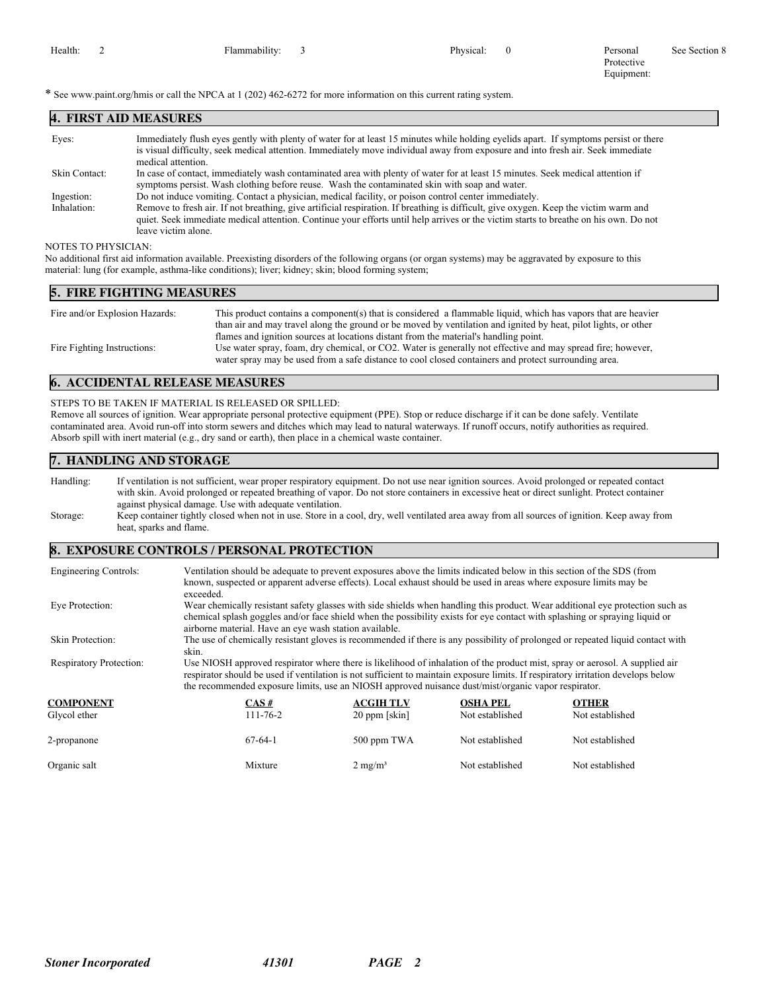See Section 8

Protective Equipment:

\* See www.paint.org/hmis or call the NPCA at 1 (202) 462-6272 for more information on this current rating system.

| <b>4. FIRST AID MEASURES</b> |                                                                                                                                                                                                                                                                                                                                                                                                             |
|------------------------------|-------------------------------------------------------------------------------------------------------------------------------------------------------------------------------------------------------------------------------------------------------------------------------------------------------------------------------------------------------------------------------------------------------------|
| Eyes:                        | Immediately flush eyes gently with plenty of water for at least 15 minutes while holding eyelids apart. If symptoms persist or there<br>is visual difficulty, seek medical attention. Immediately move individual away from exposure and into fresh air. Seek immediate<br>medical attention.                                                                                                               |
| Skin Contact:                | In case of contact, immediately wash contaminated area with plenty of water for at least 15 minutes. Seek medical attention if<br>symptoms persist. Wash clothing before reuse. Wash the contaminated skin with soap and water.                                                                                                                                                                             |
| Ingestion:<br>Inhalation:    | Do not induce vomiting. Contact a physician, medical facility, or poison control center immediately.<br>Remove to fresh air. If not breathing, give artificial respiration. If breathing is difficult, give oxygen. Keep the victim warm and<br>quiet. Seek immediate medical attention. Continue your efforts until help arrives or the victim starts to breathe on his own. Do not<br>leave victim alone. |

#### NOTES TO PHYSICIAN:

No additional first aid information available. Preexisting disorders of the following organs (or organ systems) may be aggravated by exposure to this material: lung (for example, asthma-like conditions); liver; kidney; skin; blood forming system;

#### **5. FIRE FIGHTING MEASURES**

| Fire and/or Explosion Hazards: | This product contains a component(s) that is considered a flammable liquid, which has vapors that are heavier   |
|--------------------------------|-----------------------------------------------------------------------------------------------------------------|
|                                | than air and may travel along the ground or be moved by ventilation and ignited by heat, pilot lights, or other |
|                                | flames and ignition sources at locations distant from the material's handling point.                            |
| Fire Fighting Instructions:    | Use water spray, foam, dry chemical, or CO2. Water is generally not effective and may spread fire; however,     |
|                                | water spray may be used from a safe distance to cool closed containers and protect surrounding area.            |

# **6. ACCIDENTAL RELEASE MEASURES**

STEPS TO BE TAKEN IF MATERIAL IS RELEASED OR SPILLED: Remove all sources of ignition. Wear appropriate personal protective equipment (PPE). Stop or reduce discharge if it can be done safely. Ventilate

contaminated area. Avoid run-off into storm sewers and ditches which may lead to natural waterways. If runoff occurs, notify authorities as required. Absorb spill with inert material (e.g., dry sand or earth), then place in a chemical waste container.

## **7. HANDLING AND STORAGE**

Handling: If ventilation is not sufficient, wear proper respiratory equipment. Do not use near ignition sources. Avoid prolonged or repeated contact with skin. Avoid prolonged or repeated breathing of vapor. Do not store containers in excessive heat or direct sunlight. Protect container against physical damage. Use with adequate ventilation. Storage: Keep container tightly closed when not in use. Store in a cool, dry, well ventilated area away from all sources of ignition. Keep away from heat, sparks and flame.

#### **8. EXPOSURE CONTROLS / PERSONAL PROTECTION**

| Engineering Controls:          | Ventilation should be adequate to prevent exposures above the limits indicated below in this section of the SDS (from<br>known, suspected or apparent adverse effects). Local exhaust should be used in areas where exposure limits may be<br>exceeded.                                                                                                                |                    |                 |                 |  |  |
|--------------------------------|------------------------------------------------------------------------------------------------------------------------------------------------------------------------------------------------------------------------------------------------------------------------------------------------------------------------------------------------------------------------|--------------------|-----------------|-----------------|--|--|
| Eve Protection:                | Wear chemically resistant safety glasses with side shields when handling this product. Wear additional eye protection such as<br>chemical splash goggles and/or face shield when the possibility exists for eye contact with splashing or spraying liquid or<br>airborne material. Have an eye wash station available.                                                 |                    |                 |                 |  |  |
| Skin Protection:               | The use of chemically resistant gloves is recommended if there is any possibility of prolonged or repeated liquid contact with<br>skin.                                                                                                                                                                                                                                |                    |                 |                 |  |  |
| <b>Respiratory Protection:</b> | Use NIOSH approved respirator where there is likelihood of inhalation of the product mist, spray or aerosol. A supplied air<br>respirator should be used if ventilation is not sufficient to maintain exposure limits. If respiratory irritation develops below<br>the recommended exposure limits, use an NIOSH approved nuisance dust/mist/organic vapor respirator. |                    |                 |                 |  |  |
| <b>COMPONENT</b>               | $CAS \#$                                                                                                                                                                                                                                                                                                                                                               | <b>ACGIH TLV</b>   | <b>OSHA PEL</b> | <b>OTHER</b>    |  |  |
| Glycol ether                   | $111 - 76 - 2$                                                                                                                                                                                                                                                                                                                                                         | 20 ppm [skin]      | Not established | Not established |  |  |
| 2-propanone                    | $67-64-1$                                                                                                                                                                                                                                                                                                                                                              | 500 ppm TWA        | Not established | Not established |  |  |
| Organic salt                   | Mixture                                                                                                                                                                                                                                                                                                                                                                | $2 \text{ mg/m}^3$ | Not established | Not established |  |  |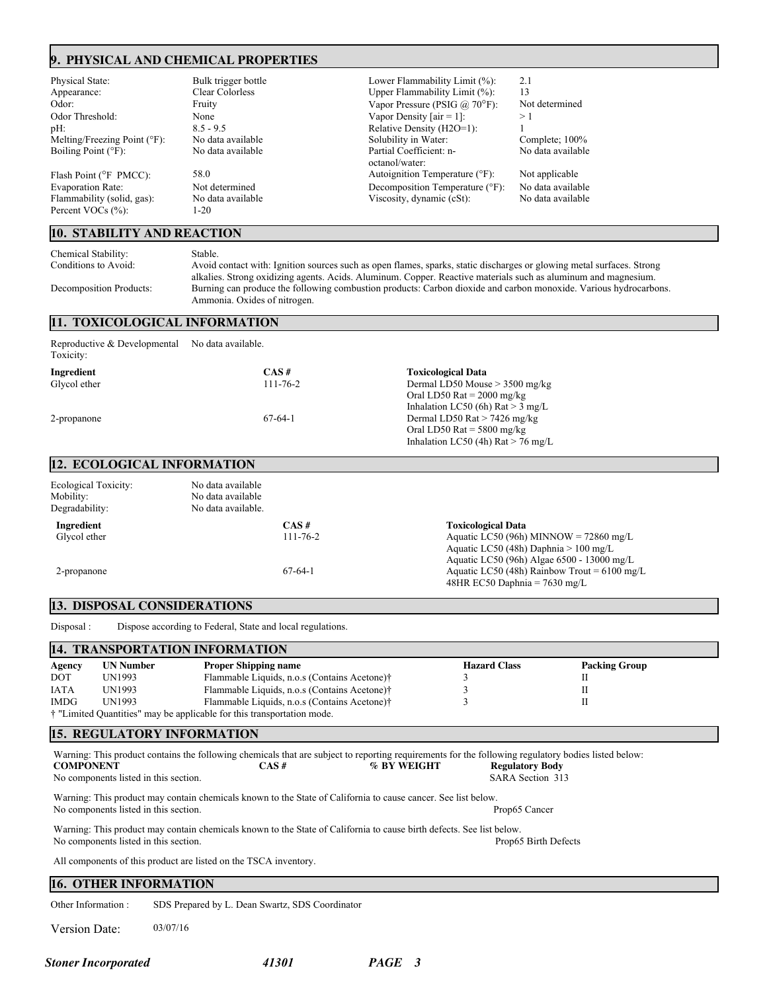# **9. PHYSICAL AND CHEMICAL PROPERTIES**

Melting/Freezing Point (°F):

Flammability (solid, gas): Percent VOCs (%): 1-20

#### **10. STABILITY AND REACTION**

Physical State: Bulk trigger bottle Lower Flammability Limit (%): 2.1 Appearance: Clear Colorless Upper Flammability Limit (%): 13<br>Odor: Fruity Fruity (%): 13 Odor: Fruity Fruity Fruity Vapor Pressure (PSIG @ 70°F): Not determined<br>Odor Threshold: None None Vapor Density [air = 1]: > 1 None Vapor Density  $[air = 1]$ : pH: 8.5 - 9.5 8.5 - 9.5 Relative Density (H2O=1): 1<br>
Melting/Freezing Point (°F): No data available Solubility in Water: Complete; 100% Boiling Point (°F): No data available Partial Coefficient: noctanol/water: Flash Point (°F PMCC): 58.0 58.0 Autoignition Temperature (°F): Not applicable Evaporation Rate: Not determined Decomposition Temperature (°F): No data available<br>
Flammability (solid, gas): No data available Viscosity, dynamic (cSt): No data available

No data available

Chemical Stability: Stable.<br>
Conditions to Avoid: Avoid

Avoid contact with: Ignition sources such as open flames, sparks, static discharges or glowing metal surfaces. Strong alkalies. Strong oxidizing agents. Acids. Aluminum. Copper. Reactive materials such as aluminum and magnesium. Decomposition Products: Burning can produce the following combustion products: Carbon dioxide and carbon monoxide. Various hydrocarbons. Ammonia. Oxides of nitrogen.

#### **11. TOXICOLOGICAL INFORMATION**

| Reproductive & Developmental No data available.<br>Toxicity: |                |                                                                                                         |  |
|--------------------------------------------------------------|----------------|---------------------------------------------------------------------------------------------------------|--|
| Ingredient                                                   | $CAS \#$       | <b>Toxicological Data</b>                                                                               |  |
| Glycol ether                                                 | $111 - 76 - 2$ | Dermal LD50 Mouse $>$ 3500 mg/kg<br>Oral LD50 Rat $= 2000$ mg/kg<br>Inhalation LC50 (6h) $Rat > 3$ mg/L |  |
| 2-propanone                                                  | $67-64-1$      | Dermal LD50 Rat $>$ 7426 mg/kg<br>Oral LD50 Rat = $5800$ mg/kg<br>Inhalation LC50 (4h) Rat $>$ 76 mg/L  |  |

### **12. ECOLOGICAL INFORMATION**

| Ecological Toxicity:<br>Mobility:<br>Degradability: | No data available<br>No data available<br>No data available. |                            |                                                                                                                                                                |
|-----------------------------------------------------|--------------------------------------------------------------|----------------------------|----------------------------------------------------------------------------------------------------------------------------------------------------------------|
| Ingredient<br>Glycol ether                          |                                                              | $CAS \#$<br>$111 - 76 - 2$ | <b>Toxicological Data</b><br>Aquatic LC50 (96h) MINNOW = $72860$ mg/L<br>Aquatic LC50 (48h) Daphnia $> 100$ mg/L<br>Aquatic LC50 (96h) Algae 6500 - 13000 mg/L |
| 2-propanone                                         |                                                              | $67-64-1$                  | Aquatic LC50 (48h) Rainbow Trout = $6100$ mg/L<br>48HR EC50 Daphnia = $7630$ mg/L                                                                              |

#### **13. DISPOSAL CONSIDERATIONS**

Disposal : Dispose according to Federal, State and local regulations.

| 14. TRANSPORTATION INFORMATION |                  |                                                                                   |                     |                      |  |  |
|--------------------------------|------------------|-----------------------------------------------------------------------------------|---------------------|----------------------|--|--|
| Agency                         | <b>UN Number</b> | <b>Proper Shipping name</b>                                                       | <b>Hazard Class</b> | <b>Packing Group</b> |  |  |
| <b>DOT</b>                     | <b>UN1993</b>    | Flammable Liquids, n.o.s (Contains Acetone)†                                      |                     |                      |  |  |
| <b>IATA</b>                    | UN1993           | Flammable Liquids, n.o.s (Contains Acetone)†                                      |                     |                      |  |  |
| <b>IMDG</b>                    | <b>UN1993</b>    | Flammable Liquids, n.o.s (Contains Acetone)†                                      |                     |                      |  |  |
|                                |                  | <sup>†</sup> "Limited Quantities" may be applicable for this transportation mode. |                     |                      |  |  |

### **15. REGULATORY INFORMATION**

| <b>COMPONENT</b><br>No components listed in this section.                                                                                                                             |                                                                                                                                                                         | $CAS \#$ | % BY WEIGHT |  | Warning: This product contains the following chemicals that are subject to reporting requirements for the following regulatory bodies listed below:<br><b>Regulatory Body</b><br>SARA Section 313 |  |  |
|---------------------------------------------------------------------------------------------------------------------------------------------------------------------------------------|-------------------------------------------------------------------------------------------------------------------------------------------------------------------------|----------|-------------|--|---------------------------------------------------------------------------------------------------------------------------------------------------------------------------------------------------|--|--|
|                                                                                                                                                                                       | Warning: This product may contain chemicals known to the State of California to cause cancer. See list below.<br>No components listed in this section.<br>Prop65 Cancer |          |             |  |                                                                                                                                                                                                   |  |  |
| Warning: This product may contain chemicals known to the State of California to cause birth defects. See list below.<br>No components listed in this section.<br>Prop65 Birth Defects |                                                                                                                                                                         |          |             |  |                                                                                                                                                                                                   |  |  |
| All components of this product are listed on the TSCA inventory.                                                                                                                      |                                                                                                                                                                         |          |             |  |                                                                                                                                                                                                   |  |  |
| <b>16. OTHER INFORMATION</b>                                                                                                                                                          |                                                                                                                                                                         |          |             |  |                                                                                                                                                                                                   |  |  |
| Other Information:                                                                                                                                                                    | SDS Prepared by L. Dean Swartz, SDS Coordinator                                                                                                                         |          |             |  |                                                                                                                                                                                                   |  |  |
| Version Date:                                                                                                                                                                         | 03/07/16                                                                                                                                                                |          |             |  |                                                                                                                                                                                                   |  |  |

*Stoner Incorporated 41301 PAGE 3*